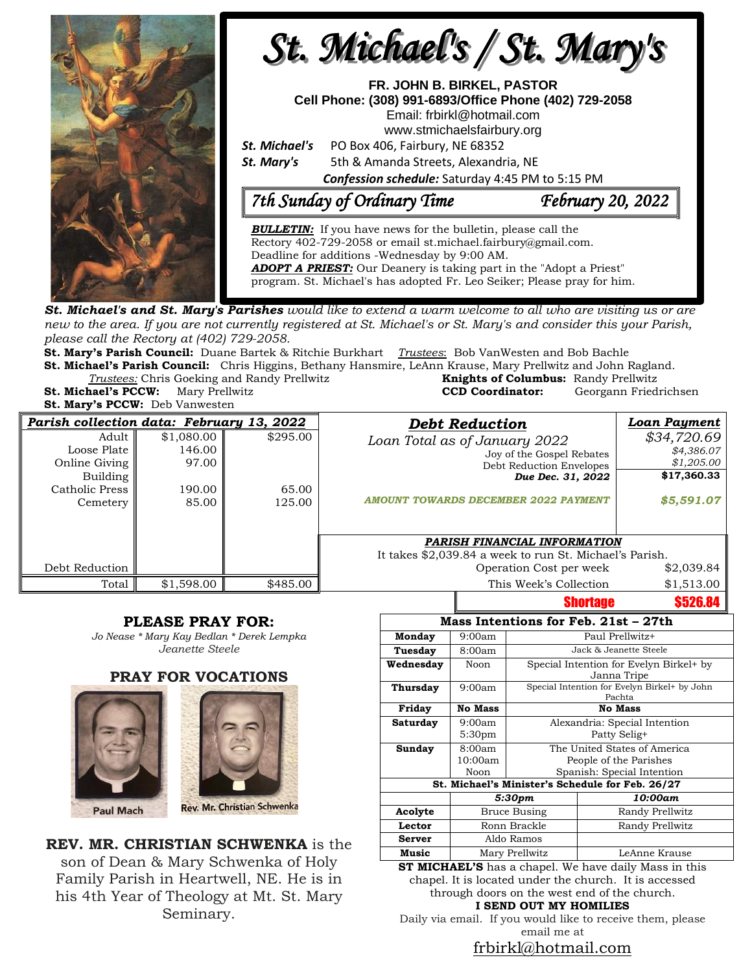

**St. Michael's and St. Mary's Parishes** would like to extend a warm welcome to all who are visiting us or are new to the area. If you are not currently registered at St. Michael's or St. Mary's and consider this your Parish, *please call the Rectory at (402) 729-2058.* 

**St. Mary's Parish Council:** Duane Bartek & Ritchie Burkhart *Trustees*: Bob VanWesten and Bob Bachle **St. Michael's Parish Council:** Chris Higgins, Bethany Hansmire, LeAnn Krause, Mary Prellwitz and John Ragland.

*Trustees:* Chris Goeking and Randy Prellwitz **St. Michael's PCCW:** Mary Prellwitz **CCD Coordinator:** Georgann Friedrichsen

**St. Mary's PCCW:** Deb Vanwesten

| <b>Knights of Columbus:</b> Randy Prellwitz |                       |
|---------------------------------------------|-----------------------|
| <b>CCD Coordinator:</b>                     | Georgann Friedrichse: |
|                                             |                       |

| Parish collection data: February 13, 2022 |            |          | <b>Debt Reduction</b>                                   | Loan Payment    |
|-------------------------------------------|------------|----------|---------------------------------------------------------|-----------------|
| Adult                                     | \$1,080.00 | \$295.00 | Loan Total as of January 2022                           | \$34,720.69     |
| Loose Plate                               | 146.00     |          | Joy of the Gospel Rebates                               | \$4,386.07      |
| Online Giving                             | 97.00      |          | Debt Reduction Envelopes                                | \$1,205.00      |
| <b>Building</b>                           |            |          | Due Dec. 31, 2022                                       | \$17,360.33     |
| Catholic Press                            | 190.00     | 65.00    |                                                         |                 |
| Cemetery                                  | 85.00      | 125.00   | <b>AMOUNT TOWARDS DECEMBER 2022 PAYMENT</b>             | \$5,591.07      |
|                                           |            |          |                                                         |                 |
|                                           |            |          | PARISH FINANCIAL INFORMATION                            |                 |
|                                           |            |          | It takes \$2,039.84 a week to run St. Michael's Parish. |                 |
| Debt Reduction                            |            |          | Operation Cost per week                                 | \$2,039.84      |
| Total                                     | \$1,598.00 | \$485.00 | This Week's Collection                                  | \$1,513.00      |
|                                           |            |          | <b>Shortage</b>                                         | <b>\$526.84</b> |

### **PLEASE PRAY FOR:**

*Jo Nease \* Mary Kay Bedlan \* Derek Lempka Jeanette Steele*

### **PRAY FOR VOCATIONS**





**REV. MR. CHRISTIAN SCHWENKA** is the son of Dean & Mary Schwenka of Holy Family Parish in Heartwell, NE. He is in his 4th Year of Theology at Mt. St. Mary Seminary.

| Mass Intentions for Feb. 21st – 27th             |                    |                                                        |                 |  |  |  |
|--------------------------------------------------|--------------------|--------------------------------------------------------|-----------------|--|--|--|
| Monday                                           | 9:00am             | Paul Prellwitz+                                        |                 |  |  |  |
| Tuesday                                          | 8:00am             | Jack & Jeanette Steele                                 |                 |  |  |  |
| Wednesday                                        | Noon               | Special Intention for Evelyn Birkel+ by<br>Janna Tripe |                 |  |  |  |
| Thursday                                         | 9:00am             | Special Intention for Evelyn Birkel+ by John<br>Pachta |                 |  |  |  |
| Friday                                           | No Mass            | <b>No Mass</b>                                         |                 |  |  |  |
| Saturday                                         | 9:00am             | Alexandria: Special Intention                          |                 |  |  |  |
|                                                  | 5:30 <sub>pm</sub> | Patty Selig+                                           |                 |  |  |  |
| Sunday                                           | 8:00am             | The United States of America                           |                 |  |  |  |
|                                                  | 10:00am            | People of the Parishes                                 |                 |  |  |  |
|                                                  | Noon               | Spanish: Special Intention                             |                 |  |  |  |
| St. Michael's Minister's Schedule for Feb. 26/27 |                    |                                                        |                 |  |  |  |
|                                                  | 5:30pm             |                                                        | 10:00am         |  |  |  |
| Acolyte                                          | Bruce Busing       |                                                        | Randy Prellwitz |  |  |  |
| Lector                                           | Ronn Brackle       |                                                        | Randy Prellwitz |  |  |  |
| <b>Server</b>                                    | Aldo Ramos         |                                                        |                 |  |  |  |
| Music                                            | Mary Prellwitz     |                                                        | LeAnne Krause   |  |  |  |

**ST MICHAEL'S** has a chapel. We have daily Mass in this chapel. It is located under the church. It is accessed through doors on the west end of the church. **I SEND OUT MY HOMILIES**

Daily via email. If you would like to receive them, please email me at

### [frbirkl@hotmail.com](mailto:frbirkl@hotmail.com)